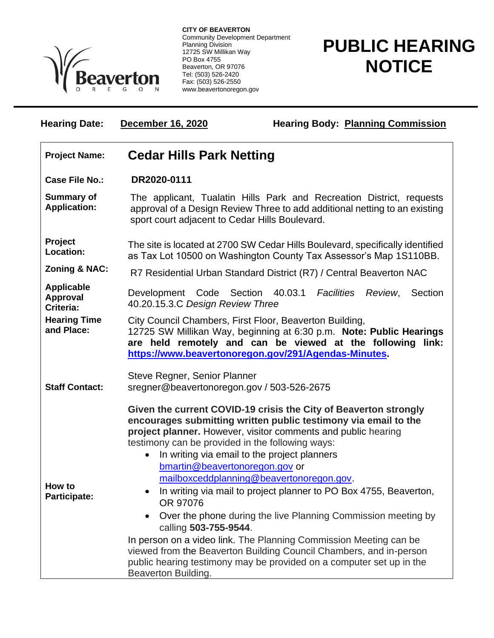

**CITY OF BEAVERTON** Community Development Department Planning Division 12725 SW Millikan Way PO Box 4755 Beaverton, OR 97076 Tel: (503) 526-2420 Fax: (503) 526-2550 www.beavertonoregon.gov

## **PUBLIC HEARING NOTICE**

| <b>Hearing Date:</b>                              | December 16, 2020                                                                                                                                                                                                                                                                                                                                                                                                                                                                                                                                                                                                                                                                                                                                                                                                                     | <b>Hearing Body: Planning Commission</b>           |
|---------------------------------------------------|---------------------------------------------------------------------------------------------------------------------------------------------------------------------------------------------------------------------------------------------------------------------------------------------------------------------------------------------------------------------------------------------------------------------------------------------------------------------------------------------------------------------------------------------------------------------------------------------------------------------------------------------------------------------------------------------------------------------------------------------------------------------------------------------------------------------------------------|----------------------------------------------------|
| <b>Project Name:</b>                              | <b>Cedar Hills Park Netting</b>                                                                                                                                                                                                                                                                                                                                                                                                                                                                                                                                                                                                                                                                                                                                                                                                       |                                                    |
| <b>Case File No.:</b>                             | DR2020-0111                                                                                                                                                                                                                                                                                                                                                                                                                                                                                                                                                                                                                                                                                                                                                                                                                           |                                                    |
| <b>Summary of</b><br><b>Application:</b>          | The applicant, Tualatin Hills Park and Recreation District, requests<br>approval of a Design Review Three to add additional netting to an existing<br>sport court adjacent to Cedar Hills Boulevard.                                                                                                                                                                                                                                                                                                                                                                                                                                                                                                                                                                                                                                  |                                                    |
| Project<br>Location:                              | The site is located at 2700 SW Cedar Hills Boulevard, specifically identified<br>as Tax Lot 10500 on Washington County Tax Assessor's Map 1S110BB.                                                                                                                                                                                                                                                                                                                                                                                                                                                                                                                                                                                                                                                                                    |                                                    |
| <b>Zoning &amp; NAC:</b>                          | R7 Residential Urban Standard District (R7) / Central Beaverton NAC                                                                                                                                                                                                                                                                                                                                                                                                                                                                                                                                                                                                                                                                                                                                                                   |                                                    |
| <b>Applicable</b><br><b>Approval</b><br>Criteria: | Development Code Section<br>40.20.15.3.C Design Review Three                                                                                                                                                                                                                                                                                                                                                                                                                                                                                                                                                                                                                                                                                                                                                                          | 40.03.1<br><b>Facilities</b><br>Review,<br>Section |
| <b>Hearing Time</b><br>and Place:                 | City Council Chambers, First Floor, Beaverton Building,<br>12725 SW Millikan Way, beginning at 6:30 p.m. Note: Public Hearings<br>are held remotely and can be viewed at the following link:<br>https://www.beavertonoregon.gov/291/Agendas-Minutes.                                                                                                                                                                                                                                                                                                                                                                                                                                                                                                                                                                                  |                                                    |
| <b>Staff Contact:</b>                             | Steve Regner, Senior Planner<br>sregner@beavertonoregon.gov / 503-526-2675                                                                                                                                                                                                                                                                                                                                                                                                                                                                                                                                                                                                                                                                                                                                                            |                                                    |
| How to<br><b>Participate:</b>                     | Given the current COVID-19 crisis the City of Beaverton strongly<br>encourages submitting written public testimony via email to the<br>project planner. However, visitor comments and public hearing<br>testimony can be provided in the following ways:<br>In writing via email to the project planners<br>$\bullet$<br>bmartin@beavertonoregon.gov or<br>mailboxceddplanning@beavertonoregon.gov.<br>In writing via mail to project planner to PO Box 4755, Beaverton,<br>OR 97076<br>Over the phone during the live Planning Commission meeting by<br>$\bullet$<br>calling 503-755-9544.<br>In person on a video link. The Planning Commission Meeting can be<br>viewed from the Beaverton Building Council Chambers, and in-person<br>public hearing testimony may be provided on a computer set up in the<br>Beaverton Building. |                                                    |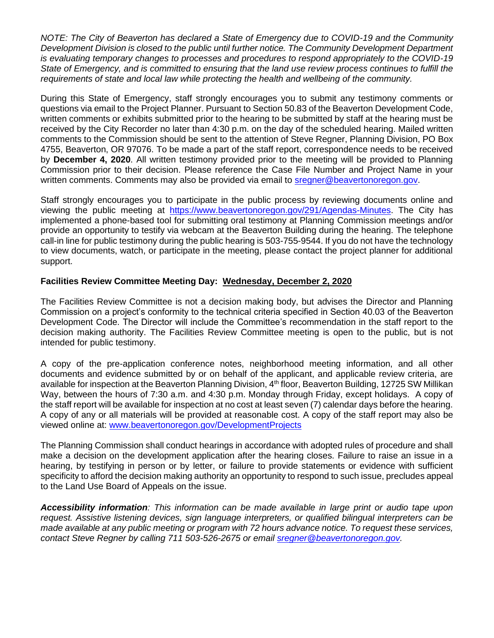*NOTE: The City of Beaverton has declared a State of Emergency due to COVID-19 and the Community Development Division is closed to the public until further notice. The Community Development Department is evaluating temporary changes to processes and procedures to respond appropriately to the COVID-19 State of Emergency, and is committed to ensuring that the land use review process continues to fulfill the requirements of state and local law while protecting the health and wellbeing of the community.*

During this State of Emergency, staff strongly encourages you to submit any testimony comments or questions via email to the Project Planner. Pursuant to Section 50.83 of the Beaverton Development Code, written comments or exhibits submitted prior to the hearing to be submitted by staff at the hearing must be received by the City Recorder no later than 4:30 p.m. on the day of the scheduled hearing. Mailed written comments to the Commission should be sent to the attention of Steve Regner, Planning Division, PO Box 4755, Beaverton, OR 97076. To be made a part of the staff report, correspondence needs to be received by **December 4, 2020**. All written testimony provided prior to the meeting will be provided to Planning Commission prior to their decision. Please reference the Case File Number and Project Name in your written comments. Comments may also be provided via email to [sregner@beavertonoregon.gov.](mailto:sregner@beavertonoregon.gov)

Staff strongly encourages you to participate in the public process by reviewing documents online and viewing the public meeting at [https://www.beavertonoregon.gov/291/Agendas-Minutes.](https://www.beavertonoregon.gov/291/Agendas-Minutes) The City has implemented a phone-based tool for submitting oral testimony at Planning Commission meetings and/or provide an opportunity to testify via webcam at the Beaverton Building during the hearing. The telephone call-in line for public testimony during the public hearing is 503-755-9544. If you do not have the technology to view documents, watch, or participate in the meeting, please contact the project planner for additional support.

## **Facilities Review Committee Meeting Day: Wednesday, December 2, 2020**

The Facilities Review Committee is not a decision making body, but advises the Director and Planning Commission on a project's conformity to the technical criteria specified in Section 40.03 of the Beaverton Development Code. The Director will include the Committee's recommendation in the staff report to the decision making authority. The Facilities Review Committee meeting is open to the public, but is not intended for public testimony.

A copy of the pre-application conference notes, neighborhood meeting information, and all other documents and evidence submitted by or on behalf of the applicant, and applicable review criteria, are available for inspection at the Beaverton Planning Division, 4<sup>th</sup> floor, Beaverton Building, 12725 SW Millikan Way, between the hours of 7:30 a.m. and 4:30 p.m. Monday through Friday, except holidays. A copy of the staff report will be available for inspection at no cost at least seven (7) calendar days before the hearing. A copy of any or all materials will be provided at reasonable cost. A copy of the staff report may also be viewed online at: [www.beavertonoregon.gov/DevelopmentProjects](http://www.beavertonoregon.gov/DevelopmentProjects)

The Planning Commission shall conduct hearings in accordance with adopted rules of procedure and shall make a decision on the development application after the hearing closes. Failure to raise an issue in a hearing, by testifying in person or by letter, or failure to provide statements or evidence with sufficient specificity to afford the decision making authority an opportunity to respond to such issue, precludes appeal to the Land Use Board of Appeals on the issue.

*Accessibility information: This information can be made available in large print or audio tape upon request. Assistive listening devices, sign language interpreters, or qualified bilingual interpreters can be made available at any public meeting or program with 72 hours advance notice. To request these services, contact Steve Regner by calling 711 503-526-2675 or email [sregner@beavertonoregon.gov.](mailto:sregner@beavertonoregon.gov)*